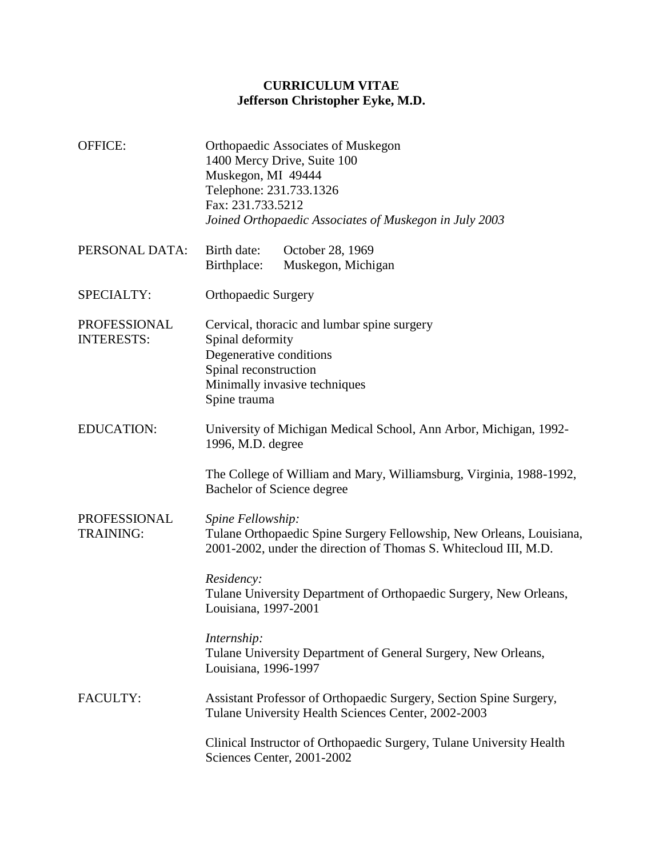## **CURRICULUM VITAE Jefferson Christopher Eyke, M.D.**

| <b>OFFICE:</b>                    | Orthopaedic Associates of Muskegon<br>1400 Mercy Drive, Suite 100<br>Muskegon, MI 49444<br>Telephone: 231.733.1326<br>Fax: 231.733.5212<br>Joined Orthopaedic Associates of Muskegon in July 2003                                                                                                                                       |
|-----------------------------------|-----------------------------------------------------------------------------------------------------------------------------------------------------------------------------------------------------------------------------------------------------------------------------------------------------------------------------------------|
| PERSONAL DATA:                    | Birth date:<br>October 28, 1969<br>Birthplace:<br>Muskegon, Michigan                                                                                                                                                                                                                                                                    |
| SPECIALTY:                        | <b>Orthopaedic Surgery</b>                                                                                                                                                                                                                                                                                                              |
| PROFESSIONAL<br><b>INTERESTS:</b> | Cervical, thoracic and lumbar spine surgery<br>Spinal deformity<br>Degenerative conditions<br>Spinal reconstruction<br>Minimally invasive techniques<br>Spine trauma                                                                                                                                                                    |
| <b>EDUCATION:</b>                 | University of Michigan Medical School, Ann Arbor, Michigan, 1992-<br>1996, M.D. degree<br>The College of William and Mary, Williamsburg, Virginia, 1988-1992,<br>Bachelor of Science degree                                                                                                                                             |
| PROFESSIONAL<br><b>TRAINING:</b>  | Spine Fellowship:<br>Tulane Orthopaedic Spine Surgery Fellowship, New Orleans, Louisiana,<br>2001-2002, under the direction of Thomas S. Whitecloud III, M.D.<br>Residency:<br>Tulane University Department of Orthopaedic Surgery, New Orleans,<br>Louisiana, 1997-2001                                                                |
| <b>FACULTY:</b>                   | Internship:<br>Tulane University Department of General Surgery, New Orleans,<br>Louisiana, 1996-1997<br>Assistant Professor of Orthopaedic Surgery, Section Spine Surgery,<br>Tulane University Health Sciences Center, 2002-2003<br>Clinical Instructor of Orthopaedic Surgery, Tulane University Health<br>Sciences Center, 2001-2002 |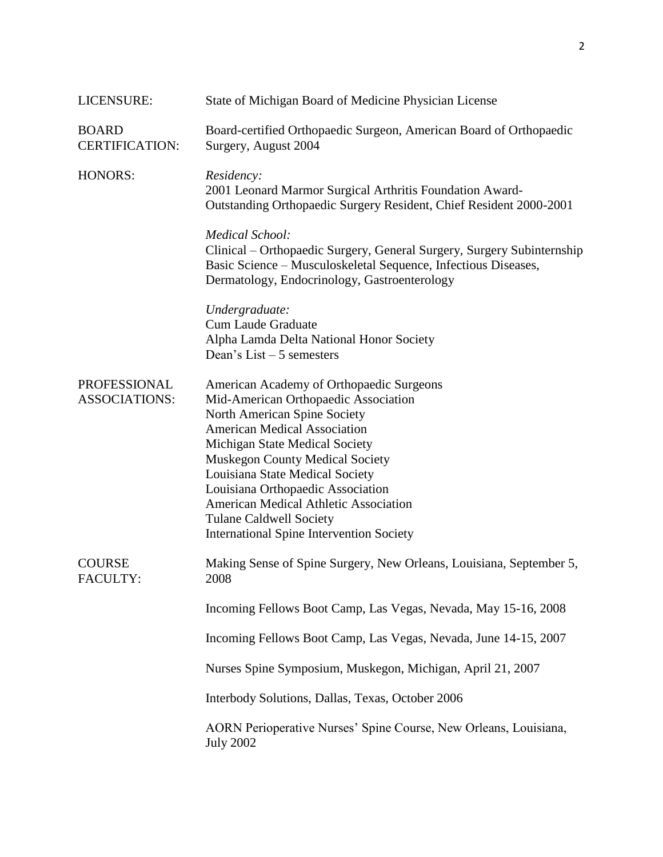| LICENSURE:                                  | State of Michigan Board of Medicine Physician License                                                                                                                                                                                                                                                                                                                                                                                     |
|---------------------------------------------|-------------------------------------------------------------------------------------------------------------------------------------------------------------------------------------------------------------------------------------------------------------------------------------------------------------------------------------------------------------------------------------------------------------------------------------------|
| <b>BOARD</b><br><b>CERTIFICATION:</b>       | Board-certified Orthopaedic Surgeon, American Board of Orthopaedic<br>Surgery, August 2004                                                                                                                                                                                                                                                                                                                                                |
| <b>HONORS:</b>                              | Residency:<br>2001 Leonard Marmor Surgical Arthritis Foundation Award-<br>Outstanding Orthopaedic Surgery Resident, Chief Resident 2000-2001                                                                                                                                                                                                                                                                                              |
|                                             | <b>Medical School:</b><br>Clinical – Orthopaedic Surgery, General Surgery, Surgery Subinternship<br>Basic Science - Musculoskeletal Sequence, Infectious Diseases,<br>Dermatology, Endocrinology, Gastroenterology                                                                                                                                                                                                                        |
|                                             | Undergraduate:<br><b>Cum Laude Graduate</b><br>Alpha Lamda Delta National Honor Society<br>Dean's List $-5$ semesters                                                                                                                                                                                                                                                                                                                     |
| <b>PROFESSIONAL</b><br><b>ASSOCIATIONS:</b> | American Academy of Orthopaedic Surgeons<br>Mid-American Orthopaedic Association<br>North American Spine Society<br><b>American Medical Association</b><br>Michigan State Medical Society<br><b>Muskegon County Medical Society</b><br>Louisiana State Medical Society<br>Louisiana Orthopaedic Association<br>American Medical Athletic Association<br><b>Tulane Caldwell Society</b><br><b>International Spine Intervention Society</b> |
| <b>COURSE</b><br><b>FACULTY:</b>            | Making Sense of Spine Surgery, New Orleans, Louisiana, September 5,<br>2008                                                                                                                                                                                                                                                                                                                                                               |
|                                             | Incoming Fellows Boot Camp, Las Vegas, Nevada, May 15-16, 2008                                                                                                                                                                                                                                                                                                                                                                            |
|                                             | Incoming Fellows Boot Camp, Las Vegas, Nevada, June 14-15, 2007                                                                                                                                                                                                                                                                                                                                                                           |
|                                             | Nurses Spine Symposium, Muskegon, Michigan, April 21, 2007                                                                                                                                                                                                                                                                                                                                                                                |
|                                             | Interbody Solutions, Dallas, Texas, October 2006                                                                                                                                                                                                                                                                                                                                                                                          |
|                                             | AORN Perioperative Nurses' Spine Course, New Orleans, Louisiana,<br><b>July 2002</b>                                                                                                                                                                                                                                                                                                                                                      |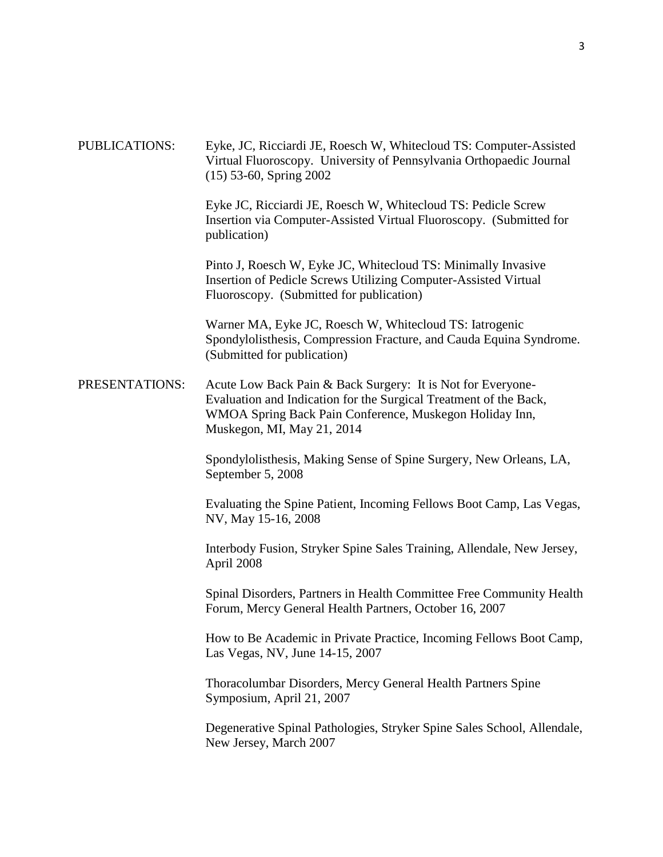PUBLICATIONS: Eyke, JC, Ricciardi JE, Roesch W, Whitecloud TS: Computer-Assisted Virtual Fluoroscopy. University of Pennsylvania Orthopaedic Journal (15) 53-60, Spring 2002 Eyke JC, Ricciardi JE, Roesch W, Whitecloud TS: Pedicle Screw Insertion via Computer-Assisted Virtual Fluoroscopy. (Submitted for publication) Pinto J, Roesch W, Eyke JC, Whitecloud TS: Minimally Invasive Insertion of Pedicle Screws Utilizing Computer-Assisted Virtual Fluoroscopy. (Submitted for publication) Warner MA, Eyke JC, Roesch W, Whitecloud TS: Iatrogenic Spondylolisthesis, Compression Fracture, and Cauda Equina Syndrome. (Submitted for publication) PRESENTATIONS: Acute Low Back Pain & Back Surgery: It is Not for Everyone-Evaluation and Indication for the Surgical Treatment of the Back, WMOA Spring Back Pain Conference, Muskegon Holiday Inn, Muskegon, MI, May 21, 2014 Spondylolisthesis, Making Sense of Spine Surgery, New Orleans, LA, September 5, 2008 Evaluating the Spine Patient, Incoming Fellows Boot Camp, Las Vegas, NV, May 15-16, 2008 Interbody Fusion, Stryker Spine Sales Training, Allendale, New Jersey, April 2008 Spinal Disorders, Partners in Health Committee Free Community Health Forum, Mercy General Health Partners, October 16, 2007 How to Be Academic in Private Practice, Incoming Fellows Boot Camp, Las Vegas, NV, June 14-15, 2007 Thoracolumbar Disorders, Mercy General Health Partners Spine Symposium, April 21, 2007 Degenerative Spinal Pathologies, Stryker Spine Sales School, Allendale, New Jersey, March 2007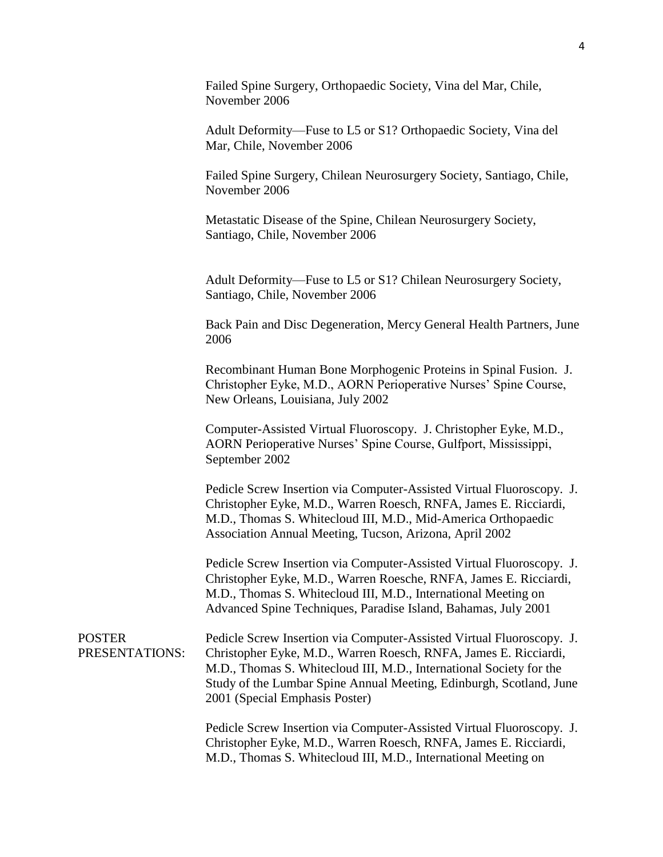Failed Spine Surgery, Orthopaedic Society, Vina del Mar, Chile, November 2006

Adult Deformity—Fuse to L5 or S1? Orthopaedic Society, Vina del Mar, Chile, November 2006

Failed Spine Surgery, Chilean Neurosurgery Society, Santiago, Chile, November 2006

Metastatic Disease of the Spine, Chilean Neurosurgery Society, Santiago, Chile, November 2006

Adult Deformity—Fuse to L5 or S1? Chilean Neurosurgery Society, Santiago, Chile, November 2006

Back Pain and Disc Degeneration, Mercy General Health Partners, June 2006

Recombinant Human Bone Morphogenic Proteins in Spinal Fusion. J. Christopher Eyke, M.D., AORN Perioperative Nurses' Spine Course, New Orleans, Louisiana, July 2002

Computer-Assisted Virtual Fluoroscopy. J. Christopher Eyke, M.D., AORN Perioperative Nurses' Spine Course, Gulfport, Mississippi, September 2002

Pedicle Screw Insertion via Computer-Assisted Virtual Fluoroscopy. J. Christopher Eyke, M.D., Warren Roesch, RNFA, James E. Ricciardi, M.D., Thomas S. Whitecloud III, M.D., Mid-America Orthopaedic Association Annual Meeting, Tucson, Arizona, April 2002

Pedicle Screw Insertion via Computer-Assisted Virtual Fluoroscopy. J. Christopher Eyke, M.D., Warren Roesche, RNFA, James E. Ricciardi, M.D., Thomas S. Whitecloud III, M.D., International Meeting on Advanced Spine Techniques, Paradise Island, Bahamas, July 2001

POSTER PRESENTATIONS: Pedicle Screw Insertion via Computer-Assisted Virtual Fluoroscopy. J. Christopher Eyke, M.D., Warren Roesch, RNFA, James E. Ricciardi, M.D., Thomas S. Whitecloud III, M.D., International Society for the Study of the Lumbar Spine Annual Meeting, Edinburgh, Scotland, June 2001 (Special Emphasis Poster)

> Pedicle Screw Insertion via Computer-Assisted Virtual Fluoroscopy. J. Christopher Eyke, M.D., Warren Roesch, RNFA, James E. Ricciardi, M.D., Thomas S. Whitecloud III, M.D., International Meeting on